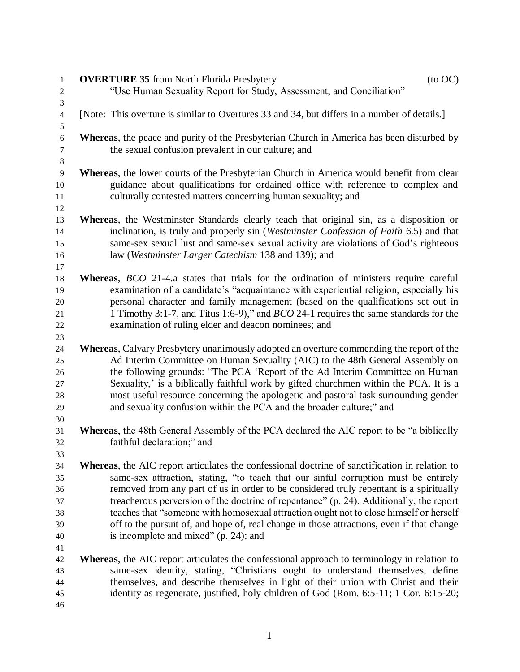| $\,1$               | <b>OVERTURE 35</b> from North Florida Presbytery<br>$($ to OC $)$                                      |
|---------------------|--------------------------------------------------------------------------------------------------------|
| $\overline{2}$      | "Use Human Sexuality Report for Study, Assessment, and Conciliation"                                   |
| 3                   |                                                                                                        |
| $\overline{4}$<br>5 | [Note: This overture is similar to Overtures 33 and 34, but differs in a number of details.]           |
| $\sqrt{6}$          | Whereas, the peace and purity of the Presbyterian Church in America has been disturbed by              |
| $\tau$              | the sexual confusion prevalent in our culture; and                                                     |
| $8\,$               |                                                                                                        |
| 9                   | Whereas, the lower courts of the Presbyterian Church in America would benefit from clear               |
| 10                  | guidance about qualifications for ordained office with reference to complex and                        |
| 11                  | culturally contested matters concerning human sexuality; and                                           |
| 12                  |                                                                                                        |
| 13                  | Whereas, the Westminster Standards clearly teach that original sin, as a disposition or                |
| 14                  | inclination, is truly and properly sin (Westminster Confession of Faith 6.5) and that                  |
| 15                  | same-sex sexual lust and same-sex sexual activity are violations of God's righteous                    |
| 16                  | law (Westminster Larger Catechism 138 and 139); and                                                    |
| 17                  |                                                                                                        |
| 18                  | Whereas, <i>BCO</i> 21-4.a states that trials for the ordination of ministers require careful          |
| 19                  | examination of a candidate's "acquaintance with experiential religion, especially his                  |
| 20                  | personal character and family management (based on the qualifications set out in                       |
| 21                  | 1 Timothy 3:1-7, and Titus 1:6-9)," and <i>BCO</i> 24-1 requires the same standards for the            |
| 22                  | examination of ruling elder and deacon nominees; and                                                   |
| 23                  |                                                                                                        |
| 24                  | Whereas, Calvary Presbytery unanimously adopted an overture commending the report of the               |
| 25                  | Ad Interim Committee on Human Sexuality (AIC) to the 48th General Assembly on                          |
| 26                  | the following grounds: "The PCA 'Report of the Ad Interim Committee on Human                           |
| 27                  | Sexuality,' is a biblically faithful work by gifted churchmen within the PCA. It is a                  |
| 28                  | most useful resource concerning the apologetic and pastoral task surrounding gender                    |
| 29                  | and sexuality confusion within the PCA and the broader culture;" and                                   |
| 30                  |                                                                                                        |
| 31                  | <b>Whereas</b> , the 48th General Assembly of the PCA declared the AIC report to be "a biblically      |
| 32                  | faithful declaration;" and                                                                             |
| 33<br>34            | <b>Whereas</b> , the AIC report articulates the confessional doctrine of sanctification in relation to |
| 35                  | same-sex attraction, stating, "to teach that our sinful corruption must be entirely                    |
| 36                  | removed from any part of us in order to be considered truly repentant is a spiritually                 |
| 37                  | treacherous perversion of the doctrine of repentance" (p. 24). Additionally, the report                |
| 38                  | teaches that "someone with homosexual attraction ought not to close himself or herself                 |
| 39                  | off to the pursuit of, and hope of, real change in those attractions, even if that change              |
| 40                  | is incomplete and mixed" (p. 24); and                                                                  |
| 41                  |                                                                                                        |
| 42                  | <b>Whereas</b> , the AIC report articulates the confessional approach to terminology in relation to    |
| 43                  | same-sex identity, stating, "Christians ought to understand themselves, define                         |
| 44                  | themselves, and describe themselves in light of their union with Christ and their                      |
| 45                  | identity as regenerate, justified, holy children of God (Rom. 6:5-11; 1 Cor. 6:15-20;                  |
| 46                  |                                                                                                        |
|                     |                                                                                                        |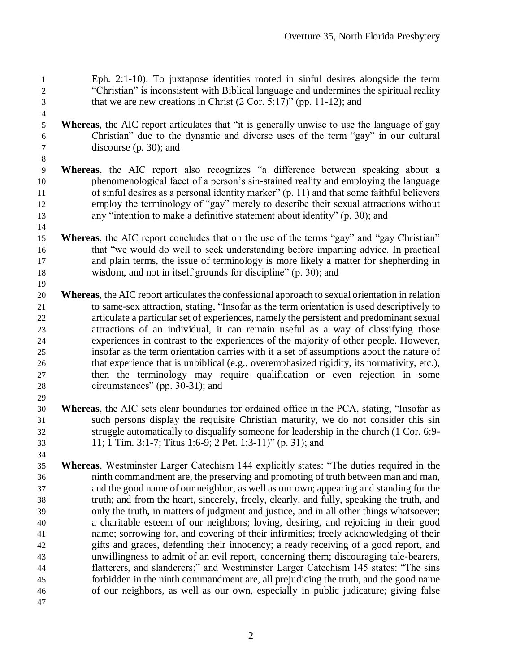Eph. 2:1-10). To juxtapose identities rooted in sinful desires alongside the term "Christian" is inconsistent with Biblical language and undermines the spiritual reality that we are new creations in Christ (2 Cor. 5:17)" (pp. 11-12); and

 **Whereas**, the AIC report articulates that "it is generally unwise to use the language of gay Christian" due to the dynamic and diverse uses of the term "gay" in our cultural discourse (p. 30); and

- **Whereas**, the AIC report also recognizes "a difference between speaking about a phenomenological facet of a person's sin-stained reality and employing the language of sinful desires as a personal identity marker" (p. 11) and that some faithful believers employ the terminology of "gay" merely to describe their sexual attractions without any "intention to make a definitive statement about identity" (p. 30); and
- **Whereas**, the AIC report concludes that on the use of the terms "gay" and "gay Christian" that "we would do well to seek understanding before imparting advice. In practical and plain terms, the issue of terminology is more likely a matter for shepherding in wisdom, and not in itself grounds for discipline" (p. 30); and
- **Whereas**, the AIC report articulates the confessional approach to sexual orientation in relation to same-sex attraction, stating, "Insofar as the term orientation is used descriptively to articulate a particular set of experiences, namely the persistent and predominant sexual attractions of an individual, it can remain useful as a way of classifying those experiences in contrast to the experiences of the majority of other people. However, insofar as the term orientation carries with it a set of assumptions about the nature of that experience that is unbiblical (e.g., overemphasized rigidity, its normativity, etc.), then the terminology may require qualification or even rejection in some circumstances" (pp. 30-31); and
- **Whereas**, the AIC sets clear boundaries for ordained office in the PCA, stating, "Insofar as such persons display the requisite Christian maturity, we do not consider this sin struggle automatically to disqualify someone for leadership in the church (1 Cor. 6:9- 11; 1 Tim. 3:1-7; Titus 1:6-9; 2 Pet. 1:3-11)" (p. 31); and
- **Whereas**, Westminster Larger Catechism 144 explicitly states: "The duties required in the ninth commandment are, the preserving and promoting of truth between man and man, and the good name of our neighbor, as well as our own; appearing and standing for the truth; and from the heart, sincerely, freely, clearly, and fully, speaking the truth, and only the truth, in matters of judgment and justice, and in all other things whatsoever; a charitable esteem of our neighbors; loving, desiring, and rejoicing in their good name; sorrowing for, and covering of their infirmities; freely acknowledging of their gifts and graces, defending their innocency; a ready receiving of a good report, and unwillingness to admit of an evil report, concerning them; discouraging tale-bearers, flatterers, and slanderers;" and Westminster Larger Catechism 145 states: "The sins forbidden in the ninth commandment are, all prejudicing the truth, and the good name of our neighbors, as well as our own, especially in public judicature; giving false